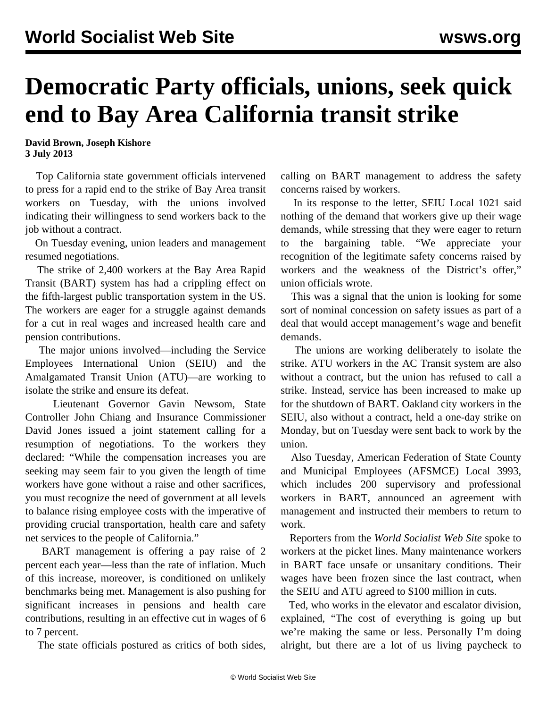## **Democratic Party officials, unions, seek quick end to Bay Area California transit strike**

**David Brown, Joseph Kishore 3 July 2013**

 Top California state government officials intervened to press for a rapid end to the strike of Bay Area transit workers on Tuesday, with the unions involved indicating their willingness to send workers back to the job without a contract.

 On Tuesday evening, union leaders and management resumed negotiations.

 The strike of 2,400 workers at the Bay Area Rapid Transit (BART) system has had a crippling effect on the fifth-largest public transportation system in the US. The workers are eager for a struggle against demands for a cut in real wages and increased health care and pension contributions.

 The major unions involved—including the Service Employees International Union (SEIU) and the Amalgamated Transit Union (ATU)—are working to isolate the strike and ensure its defeat.

 Lieutenant Governor Gavin Newsom, State Controller John Chiang and Insurance Commissioner David Jones issued a joint statement calling for a resumption of negotiations. To the workers they declared: "While the compensation increases you are seeking may seem fair to you given the length of time workers have gone without a raise and other sacrifices, you must recognize the need of government at all levels to balance rising employee costs with the imperative of providing crucial transportation, health care and safety net services to the people of California."

 BART management is offering a pay raise of 2 percent each year—less than the rate of inflation. Much of this increase, moreover, is conditioned on unlikely benchmarks being met. Management is also pushing for significant increases in pensions and health care contributions, resulting in an effective cut in wages of 6 to 7 percent.

The state officials postured as critics of both sides,

calling on BART management to address the safety concerns raised by workers.

 In its response to the letter, SEIU Local 1021 said nothing of the demand that workers give up their wage demands, while stressing that they were eager to return to the bargaining table. "We appreciate your recognition of the legitimate safety concerns raised by workers and the weakness of the District's offer," union officials wrote.

 This was a signal that the union is looking for some sort of nominal concession on safety issues as part of a deal that would accept management's wage and benefit demands.

 The unions are working deliberately to isolate the strike. ATU workers in the AC Transit system are also without a contract, but the union has refused to call a strike. Instead, service has been increased to make up for the shutdown of BART. Oakland city workers in the SEIU, also without a contract, held a one-day strike on Monday, but on Tuesday were sent back to work by the union.

 Also Tuesday, American Federation of State County and Municipal Employees (AFSMCE) Local 3993, which includes 200 supervisory and professional workers in BART, announced an agreement with management and instructed their members to return to work.

 Reporters from the *World Socialist Web Site* spoke to workers at the picket lines. Many maintenance workers in BART face unsafe or unsanitary conditions. Their wages have been frozen since the last contract, when the SEIU and ATU agreed to \$100 million in cuts.

 Ted, who works in the elevator and escalator division, explained, "The cost of everything is going up but we're making the same or less. Personally I'm doing alright, but there are a lot of us living paycheck to